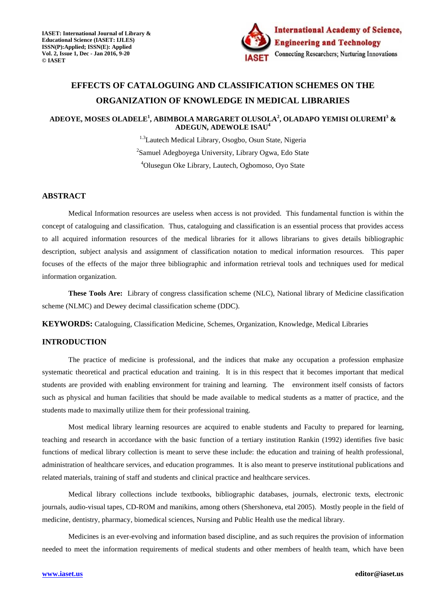

# **EFFECTS OF CATALOGUING AND CLASSIFICATION SCHEMES ON THE ORGANIZATION OF KNOWLEDGE IN MEDICAL LIBRARIES**

# **ADEOYE, MOSES OLADELE<sup>1</sup> , ABIMBOLA MARGARET OLUSOLA<sup>2</sup> , OLADAPO YEMISI OLUREMI<sup>3</sup> & ADEGUN, ADEWOLE ISAU<sup>4</sup>**

<sup>1.3</sup>Lautech Medical Library, Osogbo, Osun State, Nigeria <sup>2</sup>Samuel Adegboyega University, Library Ogwa, Edo State <sup>4</sup>Olusegun Oke Library, Lautech, Ogbomoso, Oyo State

# **ABSTRACT**

Medical Information resources are useless when access is not provided. This fundamental function is within the concept of cataloguing and classification. Thus, cataloguing and classification is an essential process that provides access to all acquired information resources of the medical libraries for it allows librarians to gives details bibliographic description, subject analysis and assignment of classification notation to medical information resources. This paper focuses of the effects of the major three bibliographic and information retrieval tools and techniques used for medical information organization.

**These Tools Are:** Library of congress classification scheme (NLC), National library of Medicine classification scheme (NLMC) and Dewey decimal classification scheme (DDC).

**KEYWORDS:** Cataloguing, Classification Medicine, Schemes, Organization, Knowledge, Medical Libraries

## **INTRODUCTION**

The practice of medicine is professional, and the indices that make any occupation a profession emphasize systematic theoretical and practical education and training. It is in this respect that it becomes important that medical students are provided with enabling environment for training and learning. The environment itself consists of factors such as physical and human facilities that should be made available to medical students as a matter of practice, and the students made to maximally utilize them for their professional training.

 Most medical library learning resources are acquired to enable students and Faculty to prepared for learning, teaching and research in accordance with the basic function of a tertiary institution Rankin (1992) identifies five basic functions of medical library collection is meant to serve these include: the education and training of health professional, administration of healthcare services, and education programmes. It is also meant to preserve institutional publications and related materials, training of staff and students and clinical practice and healthcare services.

 Medical library collections include textbooks, bibliographic databases, journals, electronic texts, electronic journals, audio-visual tapes, CD-ROM and manikins, among others (Shershoneva, etal 2005). Mostly people in the field of medicine, dentistry, pharmacy, biomedical sciences, Nursing and Public Health use the medical library.

 Medicines is an ever-evolving and information based discipline, and as such requires the provision of information needed to meet the information requirements of medical students and other members of health team, which have been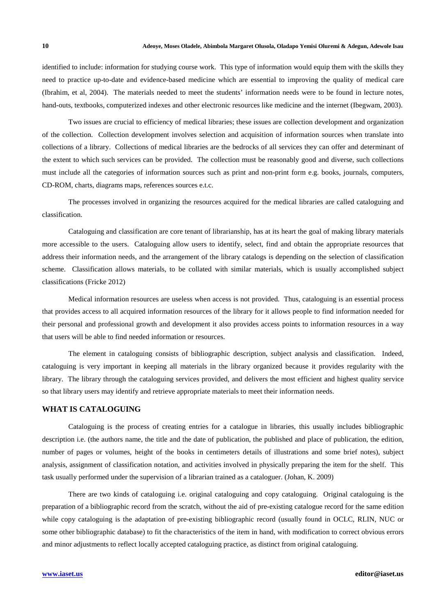identified to include: information for studying course work. This type of information would equip them with the skills they need to practice up-to-date and evidence-based medicine which are essential to improving the quality of medical care (Ibrahim, et al, 2004). The materials needed to meet the students' information needs were to be found in lecture notes, hand-outs, textbooks, computerized indexes and other electronic resources like medicine and the internet (Ibegwam, 2003).

 Two issues are crucial to efficiency of medical libraries; these issues are collection development and organization of the collection. Collection development involves selection and acquisition of information sources when translate into collections of a library. Collections of medical libraries are the bedrocks of all services they can offer and determinant of the extent to which such services can be provided. The collection must be reasonably good and diverse, such collections must include all the categories of information sources such as print and non-print form e.g. books, journals, computers, CD-ROM, charts, diagrams maps, references sources e.t.c.

 The processes involved in organizing the resources acquired for the medical libraries are called cataloguing and classification.

 Cataloguing and classification are core tenant of librarianship, has at its heart the goal of making library materials more accessible to the users. Cataloguing allow users to identify, select, find and obtain the appropriate resources that address their information needs, and the arrangement of the library catalogs is depending on the selection of classification scheme. Classification allows materials, to be collated with similar materials, which is usually accomplished subject classifications (Fricke 2012)

 Medical information resources are useless when access is not provided. Thus, cataloguing is an essential process that provides access to all acquired information resources of the library for it allows people to find information needed for their personal and professional growth and development it also provides access points to information resources in a way that users will be able to find needed information or resources.

 The element in cataloguing consists of bibliographic description, subject analysis and classification. Indeed, cataloguing is very important in keeping all materials in the library organized because it provides regularity with the library. The library through the cataloguing services provided, and delivers the most efficient and highest quality service so that library users may identify and retrieve appropriate materials to meet their information needs.

#### **WHAT IS CATALOGUING**

 Cataloguing is the process of creating entries for a catalogue in libraries, this usually includes bibliographic description i.e. (the authors name, the title and the date of publication, the published and place of publication, the edition, number of pages or volumes, height of the books in centimeters details of illustrations and some brief notes), subject analysis, assignment of classification notation, and activities involved in physically preparing the item for the shelf. This task usually performed under the supervision of a librarian trained as a cataloguer. (Johan, K. 2009)

 There are two kinds of cataloguing i.e. original cataloguing and copy cataloguing. Original cataloguing is the preparation of a bibliographic record from the scratch, without the aid of pre-existing catalogue record for the same edition while copy cataloguing is the adaptation of pre-existing bibliographic record (usually found in OCLC, RLIN, NUC or some other bibliographic database) to fit the characteristics of the item in hand, with modification to correct obvious errors and minor adjustments to reflect locally accepted cataloguing practice, as distinct from original cataloguing.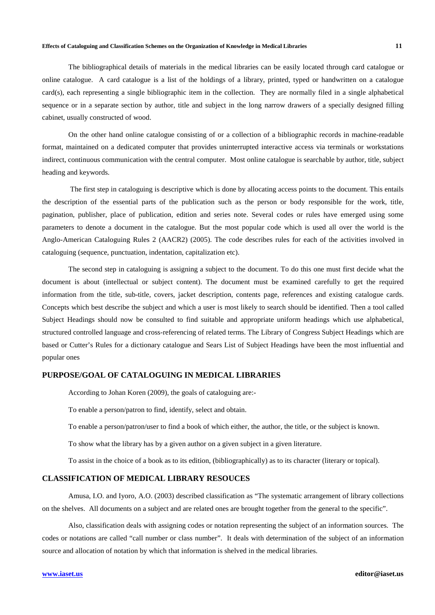#### **Effects of Cataloguing and Classification Schemes on the Organization of Knowledge in Medical Libraries 11**

 The bibliographical details of materials in the medical libraries can be easily located through card catalogue or online catalogue. A card catalogue is a list of the holdings of a library, printed, typed or handwritten on a catalogue card(s), each representing a single bibliographic item in the collection. They are normally filed in a single alphabetical sequence or in a separate section by author, title and subject in the long narrow drawers of a specially designed filling cabinet, usually constructed of wood.

 On the other hand online catalogue consisting of or a collection of a bibliographic records in machine-readable format, maintained on a dedicated computer that provides uninterrupted interactive access via terminals or workstations indirect, continuous communication with the central computer. Most online catalogue is searchable by author, title, subject heading and keywords.

 The first step in cataloguing is descriptive which is done by allocating access points to the document. This entails the description of the essential parts of the publication such as the person or body responsible for the work, title, pagination, publisher, place of publication, edition and series note. Several codes or rules have emerged using some parameters to denote a document in the catalogue. But the most popular code which is used all over the world is the Anglo-American Cataloguing Rules 2 (AACR2) (2005). The code describes rules for each of the activities involved in cataloguing (sequence, punctuation, indentation, capitalization etc).

The second step in cataloguing is assigning a subject to the document. To do this one must first decide what the document is about (intellectual or subject content). The document must be examined carefully to get the required information from the title, sub-title, covers, jacket description, contents page, references and existing catalogue cards. Concepts which best describe the subject and which a user is most likely to search should be identified. Then a tool called Subject Headings should now be consulted to find suitable and appropriate uniform headings which use alphabetical, structured controlled language and cross-referencing of related terms. The Library of Congress Subject Headings which are based or Cutter's Rules for a dictionary catalogue and Sears List of Subject Headings have been the most influential and popular ones

#### **PURPOSE/GOAL OF CATALOGUING IN MEDICAL LIBRARIES**

According to Johan Koren (2009), the goals of cataloguing are:-

To enable a person/patron to find, identify, select and obtain.

To enable a person/patron/user to find a book of which either, the author, the title, or the subject is known.

To show what the library has by a given author on a given subject in a given literature.

To assist in the choice of a book as to its edition, (bibliographically) as to its character (literary or topical).

# **CLASSIFICATION OF MEDICAL LIBRARY RESOUCES**

 Amusa, I.O. and Iyoro, A.O. (2003) described classification as "The systematic arrangement of library collections on the shelves. All documents on a subject and are related ones are brought together from the general to the specific".

 Also, classification deals with assigning codes or notation representing the subject of an information sources. The codes or notations are called "call number or class number". It deals with determination of the subject of an information source and allocation of notation by which that information is shelved in the medical libraries.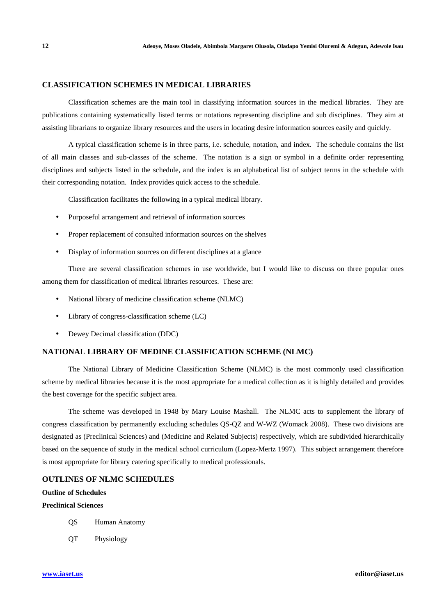#### **CLASSIFICATION SCHEMES IN MEDICAL LIBRARIES**

 Classification schemes are the main tool in classifying information sources in the medical libraries. They are publications containing systematically listed terms or notations representing discipline and sub disciplines. They aim at assisting librarians to organize library resources and the users in locating desire information sources easily and quickly.

 A typical classification scheme is in three parts, i.e. schedule, notation, and index. The schedule contains the list of all main classes and sub-classes of the scheme. The notation is a sign or symbol in a definite order representing disciplines and subjects listed in the schedule, and the index is an alphabetical list of subject terms in the schedule with their corresponding notation. Index provides quick access to the schedule.

Classification facilitates the following in a typical medical library.

- Purposeful arrangement and retrieval of information sources
- Proper replacement of consulted information sources on the shelves
- Display of information sources on different disciplines at a glance

There are several classification schemes in use worldwide, but I would like to discuss on three popular ones among them for classification of medical libraries resources. These are:

- National library of medicine classification scheme (NLMC)
- Library of congress-classification scheme (LC)
- Dewey Decimal classification (DDC)

# **NATIONAL LIBRARY OF MEDINE CLASSIFICATION SCHEME (NLMC)**

The National Library of Medicine Classification Scheme (NLMC) is the most commonly used classification scheme by medical libraries because it is the most appropriate for a medical collection as it is highly detailed and provides the best coverage for the specific subject area.

 The scheme was developed in 1948 by Mary Louise Mashall. The NLMC acts to supplement the library of congress classification by permanently excluding schedules QS-QZ and W-WZ (Womack 2008). These two divisions are designated as (Preclinical Sciences) and (Medicine and Related Subjects) respectively, which are subdivided hierarchically based on the sequence of study in the medical school curriculum (Lopez-Mertz 1997). This subject arrangement therefore is most appropriate for library catering specifically to medical professionals.

#### **OUTLINES OF NLMC SCHEDULES**

# **Outline of Schedules**

# **Preclinical Sciences**

- QS Human Anatomy
- QT Physiology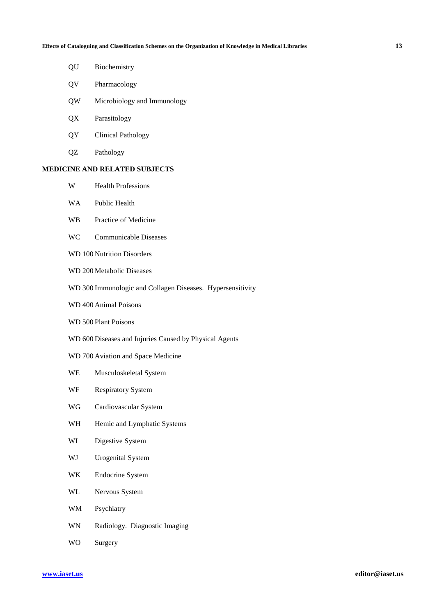- QU Biochemistry
- QV Pharmacology
- QW Microbiology and Immunology
- QX Parasitology
- QY Clinical Pathology
- QZ Pathology

# **MEDICINE AND RELATED SUBJECTS**

- W Health Professions
- WA Public Health
- WB Practice of Medicine
- WC Communicable Diseases
- WD 100 Nutrition Disorders
- WD 200 Metabolic Diseases
- WD 300 Immunologic and Collagen Diseases. Hypersensitivity
- WD 400 Animal Poisons
- WD 500 Plant Poisons
- WD 600 Diseases and Injuries Caused by Physical Agents
- WD 700 Aviation and Space Medicine
- WE Musculoskeletal System
- WF Respiratory System
- WG Cardiovascular System
- WH Hemic and Lymphatic Systems
- WI Digestive System
- WJ Urogenital System
- WK Endocrine System
- WL Nervous System
- WM Psychiatry
- WN Radiology. Diagnostic Imaging
- WO Surgery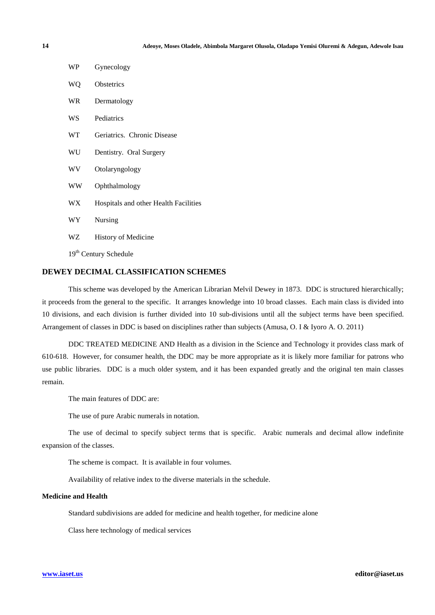| WP   | Gynecology                            |
|------|---------------------------------------|
| WQ   | <b>Obstetrics</b>                     |
| WR.  | Dermatology                           |
| WS   | Pediatrics                            |
| WT   | Geriatrics. Chronic Disease           |
| WU   | Dentistry. Oral Surgery               |
| WV   | Otolaryngology                        |
| WW   | Ophthalmology                         |
| WX . | Hospitals and other Health Facilities |
| WY   | Nursing                               |
| WZ   | History of Medicine                   |
|      | 19 <sup>th</sup> Century Schedule     |

# **DEWEY DECIMAL CLASSIFICATION SCHEMES**

This scheme was developed by the American Librarian Melvil Dewey in 1873. DDC is structured hierarchically; it proceeds from the general to the specific. It arranges knowledge into 10 broad classes. Each main class is divided into 10 divisions, and each division is further divided into 10 sub-divisions until all the subject terms have been specified. Arrangement of classes in DDC is based on disciplines rather than subjects (Amusa, O. I & Iyoro A. O. 2011)

 DDC TREATED MEDICINE AND Health as a division in the Science and Technology it provides class mark of 610-618. However, for consumer health, the DDC may be more appropriate as it is likely more familiar for patrons who use public libraries. DDC is a much older system, and it has been expanded greatly and the original ten main classes remain.

The main features of DDC are:

The use of pure Arabic numerals in notation.

The use of decimal to specify subject terms that is specific. Arabic numerals and decimal allow indefinite expansion of the classes.

The scheme is compact. It is available in four volumes.

Availability of relative index to the diverse materials in the schedule.

#### **Medicine and Health**

Standard subdivisions are added for medicine and health together, for medicine alone

Class here technology of medical services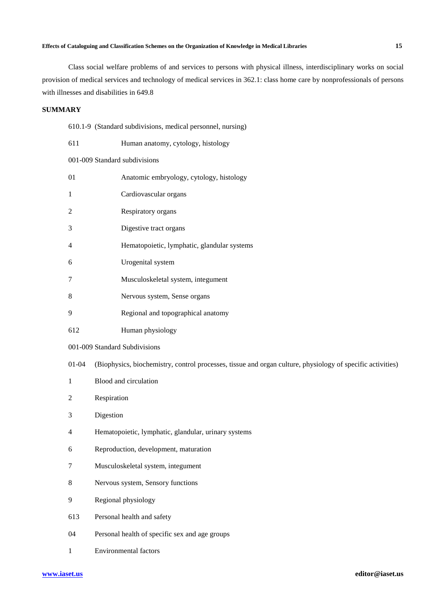#### **Effects of Cataloguing and Classification Schemes on the Organization of Knowledge in Medical Libraries 15**

Class social welfare problems of and services to persons with physical illness, interdisciplinary works on social provision of medical services and technology of medical services in 362.1: class home care by nonprofessionals of persons with illnesses and disabilities in 649.8

#### **SUMMARY**

|  |  | 610.1-9 (Standard subdivisions, medical personnel, nursing) |  |  |  |
|--|--|-------------------------------------------------------------|--|--|--|
|--|--|-------------------------------------------------------------|--|--|--|

- 611 Human anatomy, cytology, histology 001-009 Standard subdivisions 01 Anatomic embryology, cytology, histology 1 Cardiovascular organs 2 Respiratory organs 3 Digestive tract organs 4 Hematopoietic, lymphatic, glandular systems 6 Urogenital system 7 Musculoskeletal system, integument 8 Nervous system, Sense organs 9 Regional and topographical anatomy 612 Human physiology
- 001-009 Standard Subdivisions
- 01-04 (Biophysics, biochemistry, control processes, tissue and organ culture, physiology of specific activities)
- 1 Blood and circulation
- 2 Respiration
- 3 Digestion
- 4 Hematopoietic, lymphatic, glandular, urinary systems
- 6 Reproduction, development, maturation
- 7 Musculoskeletal system, integument
- 8 Nervous system, Sensory functions
- 9 Regional physiology
- 613 Personal health and safety
- 04 Personal health of specific sex and age groups
- 1 Environmental factors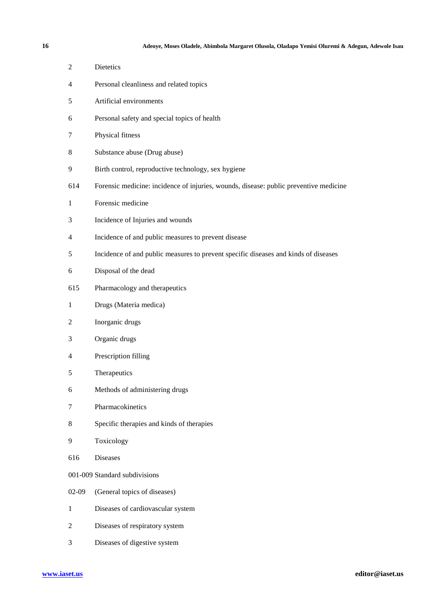- 2 Dietetics
- 4 Personal cleanliness and related topics
- 5 Artificial environments
- 6 Personal safety and special topics of health
- 7 Physical fitness
- 8 Substance abuse (Drug abuse)
- 9 Birth control, reproductive technology, sex hygiene
- 614 Forensic medicine: incidence of injuries, wounds, disease: public preventive medicine
- 1 Forensic medicine
- 3 Incidence of Injuries and wounds
- 4 Incidence of and public measures to prevent disease
- 5 Incidence of and public measures to prevent specific diseases and kinds of diseases
- 6 Disposal of the dead
- 615 Pharmacology and therapeutics
- 1 Drugs (Materia medica)
- 2 Inorganic drugs
- 3 Organic drugs
- 4 Prescription filling
- 5 Therapeutics
- 6 Methods of administering drugs
- 7 Pharmacokinetics
- 8 Specific therapies and kinds of therapies
- 9 Toxicology
- 616 Diseases
- 001-009 Standard subdivisions
- 02-09 (General topics of diseases)
- 1 Diseases of cardiovascular system
- 2 Diseases of respiratory system
- 3 Diseases of digestive system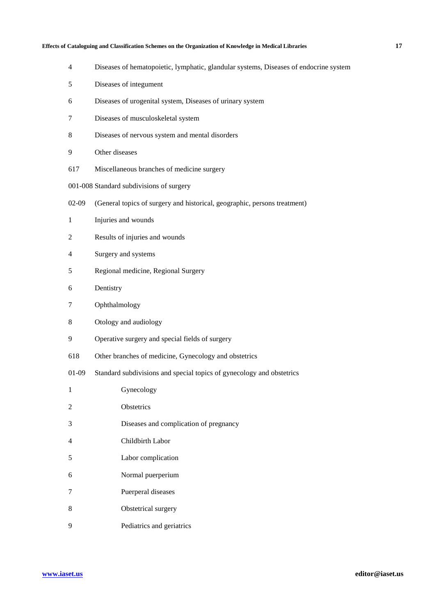#### **Effects of Cataloguing and Classification Schemes on the Organization of Knowledge in Medical Libraries 17**

- 4 Diseases of hematopoietic, lymphatic, glandular systems, Diseases of endocrine system
- 5 Diseases of integument
- 6 Diseases of urogenital system, Diseases of urinary system
- 7 Diseases of musculoskeletal system
- 8 Diseases of nervous system and mental disorders
- 9 Other diseases
- 617 Miscellaneous branches of medicine surgery
- 001-008 Standard subdivisions of surgery
- 02-09 (General topics of surgery and historical, geographic, persons treatment)
- 1 Injuries and wounds
- 2 Results of injuries and wounds
- 4 Surgery and systems
- 5 Regional medicine, Regional Surgery
- 6 Dentistry
- 7 Ophthalmology
- 8 Otology and audiology
- 9 Operative surgery and special fields of surgery
- 618 Other branches of medicine, Gynecology and obstetrics
- 01-09 Standard subdivisions and special topics of gynecology and obstetrics

| 1 | Gynecology                             |
|---|----------------------------------------|
| 2 | <b>Obstetrics</b>                      |
| 3 | Diseases and complication of pregnancy |
| 4 | Childbirth Labor                       |
| 5 | Labor complication                     |
| 6 | Normal puerperium                      |
| 7 | Puerperal diseases                     |
| 8 | Obstetrical surgery                    |
| 9 | Pediatrics and geriatrics              |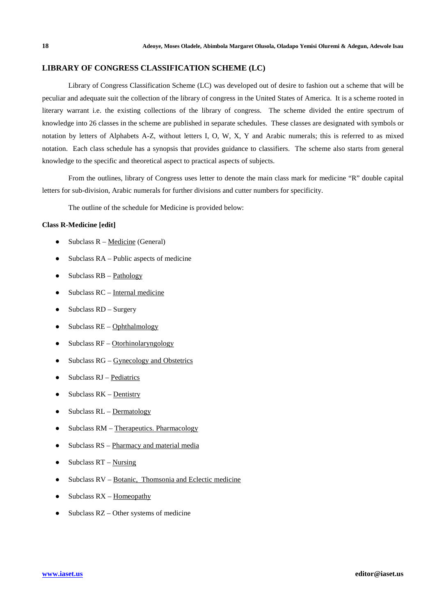## **LIBRARY OF CONGRESS CLASSIFICATION SCHEME (LC)**

Library of Congress Classification Scheme (LC) was developed out of desire to fashion out a scheme that will be peculiar and adequate suit the collection of the library of congress in the United States of America. It is a scheme rooted in literary warrant i.e. the existing collections of the library of congress. The scheme divided the entire spectrum of knowledge into 26 classes in the scheme are published in separate schedules. These classes are designated with symbols or notation by letters of Alphabets A-Z, without letters I, O, W, X, Y and Arabic numerals; this is referred to as mixed notation. Each class schedule has a synopsis that provides guidance to classifiers. The scheme also starts from general knowledge to the specific and theoretical aspect to practical aspects of subjects.

From the outlines, library of Congress uses letter to denote the main class mark for medicine "R" double capital letters for sub-division, Arabic numerals for further divisions and cutter numbers for specificity.

The outline of the schedule for Medicine is provided below:

#### **Class R-Medicine [edit]**

- Subclass  $R \text{Medicine}$  (General)
- $\bullet$  Subclass RA Public aspects of medicine
- $\bullet$  Subclass RB Pathology
- $\bullet$  Subclass RC Internal medicine
- $\bullet$  Subclass RD Surgery
- $\bullet$  Subclass RE Ophthalmology
- $\bullet$  Subclass RF Otorhinolaryngology
- Subclass  $RG G$ ynecology and Obstetrics
- Subclass RJ Pediatrics
- $\bullet$  Subclass RK Dentistry
- $\bullet$  Subclass RL Dermatology
- Subclass RM Therapeutics. Pharmacology
- Subclass RS Pharmacy and material media
- $\bullet$  Subclass RT Nursing
- Subclass  $RV Botanic$ , Thomsonia and Eclectic medicine
- Subclass  $RX -$  Homeopathy
- Subclass  $RZ$  Other systems of medicine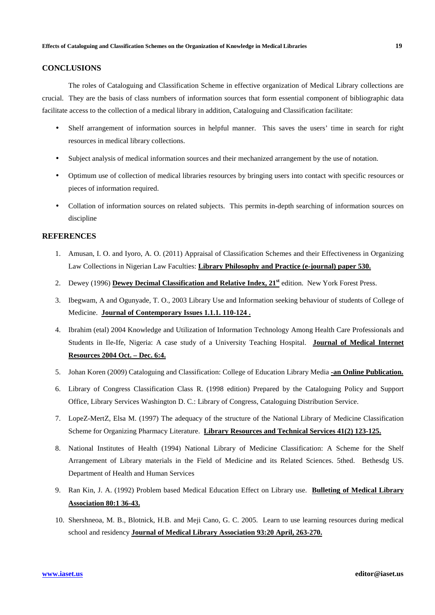# **CONCLUSIONS**

The roles of Cataloguing and Classification Scheme in effective organization of Medical Library collections are crucial. They are the basis of class numbers of information sources that form essential component of bibliographic data facilitate access to the collection of a medical library in addition, Cataloguing and Classification facilitate:

- Shelf arrangement of information sources in helpful manner. This saves the users' time in search for right resources in medical library collections.
- Subject analysis of medical information sources and their mechanized arrangement by the use of notation.
- Optimum use of collection of medical libraries resources by bringing users into contact with specific resources or pieces of information required.
- Collation of information sources on related subjects. This permits in-depth searching of information sources on discipline

# **REFERENCES**

- 1. Amusan, I. O. and Iyoro, A. O. (2011) Appraisal of Classification Schemes and their Effectiveness in Organizing Law Collections in Nigerian Law Faculties: **Library Philosophy and Practice (e-journal) paper 530.**
- 2. Dewey (1996) **Dewey Decimal Classification and Relative Index, 21st** edition. New York Forest Press.
- 3. Ibegwam, A and Ogunyade, T. O., 2003 Library Use and Information seeking behaviour of students of College of Medicine. **Journal of Contemporary Issues 1.1.1. 110-124 .**
- 4. Ibrahim (etal) 2004 Knowledge and Utilization of Information Technology Among Health Care Professionals and Students in Ile-Ife, Nigeria: A case study of a University Teaching Hospital. **Journal of Medical Internet Resources 2004 Oct. – Dec. 6:4.**
- 5. Johan Koren (2009) Cataloguing and Classification: College of Education Library Media **-an Online Publication.**
- 6. Library of Congress Classification Class R. (1998 edition) Prepared by the Cataloguing Policy and Support Office, Library Services Washington D. C.: Library of Congress, Cataloguing Distribution Service.
- 7. LopeZ-MertZ, Elsa M. (1997) The adequacy of the structure of the National Library of Medicine Classification Scheme for Organizing Pharmacy Literature. **Library Resources and Technical Services 41(2) 123-125.**
- 8. National Institutes of Health (1994) National Library of Medicine Classification: A Scheme for the Shelf Arrangement of Library materials in the Field of Medicine and its Related Sciences. 5thed. Bethesdg US. Department of Health and Human Services
- 9. Ran Kin, J. A. (1992) Problem based Medical Education Effect on Library use. **Bulleting of Medical Library Association 80:1 36-43.**
- 10. Shershneoa, M. B., Blotnick, H.B. and Meji Cano, G. C. 2005. Learn to use learning resources during medical school and residency **Journal of Medical Library Association 93:20 April, 263-270.**